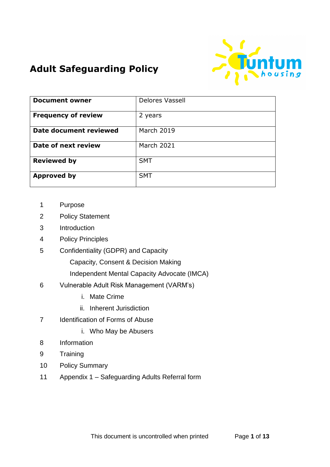

# **Adult Safeguarding Policy**

| <b>Document owner</b>      | <b>Delores Vassell</b> |
|----------------------------|------------------------|
| <b>Frequency of review</b> | 2 years                |
| Date document reviewed     | March 2019             |
| Date of next review        | <b>March 2021</b>      |
| <b>Reviewed by</b>         | <b>SMT</b>             |
| <b>Approved by</b>         | <b>SMT</b>             |

- 1 Purpose
- 2 Policy Statement
- 3 Introduction
- 4 Policy Principles
- 5 Confidentiality (GDPR) and Capacity
	- Capacity, Consent & Decision Making
	- Independent Mental Capacity Advocate (IMCA)
- 6 Vulnerable Adult Risk Management (VARM's)
	- i. Mate Crime
	- ii. Inherent Jurisdiction
- 7 Identification of Forms of Abuse
	- i. Who May be Abusers
- 8 Information
- 9 Training
- 10 Policy Summary
- 11 Appendix 1 Safeguarding Adults Referral form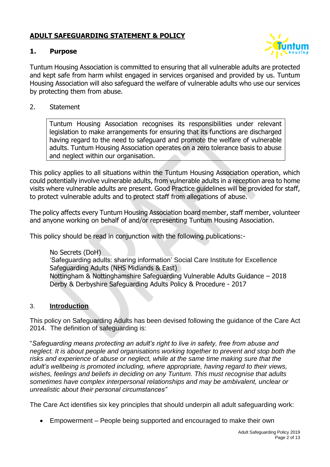# **ADULT SAFEGUARDING STATEMENT & POLICY**

# **1. Purpose**



Tuntum Housing Association is committed to ensuring that all vulnerable adults are protected and kept safe from harm whilst engaged in services organised and provided by us. Tuntum Housing Association will also safeguard the welfare of vulnerable adults who use our services by protecting them from abuse.

2. Statement

Tuntum Housing Association recognises its responsibilities under relevant legislation to make arrangements for ensuring that its functions are discharged having regard to the need to safeguard and promote the welfare of vulnerable adults. Tuntum Housing Association operates on a zero tolerance basis to abuse and neglect within our organisation.

This policy applies to all situations within the Tuntum Housing Association operation, which could potentially involve vulnerable adults, from vulnerable adults in a reception area to home visits where vulnerable adults are present. Good Practice guidelines will be provided for staff, to protect vulnerable adults and to protect staff from allegations of abuse.

The policy affects every Tuntum Housing Association board member, staff member, volunteer and anyone working on behalf of and/or representing Tuntum Housing Association.

This policy should be read in conjunction with the following publications:-

No Secrets (DoH) ['Safeguarding adults: sharing information'](https://www.scie.org.uk/safeguarding/adults/practice/sharing-information) Social Care Institute for Excellence Safeguarding Adults (NHS Midlands & East) Nottingham & Nottinghamshire Safeguarding Vulnerable Adults Guidance – 2018 Derby & Derbyshire Safeguarding Adults Policy & Procedure - 2017

# 3. **Introduction**

This policy on Safeguarding Adults has been devised following the guidance of the Care Act 2014. The definition of safeguarding is:

"*Safeguarding means protecting an adult's right to live in safety, free from abuse and neglect. It is about people and organisations working together to prevent and stop both the risks and experience of abuse or neglect, while at the same time making sure that the adult's wellbeing is promoted including, where appropriate, having regard to their views, wishes, feelings and beliefs in deciding on any Tuntum. This must recognise that adults sometimes have complex interpersonal relationships and may be ambivalent, unclear or unrealistic about their personal circumstances"*

The Care Act identifies six key principles that should underpin all adult safeguarding work:

Empowerment – People being supported and encouraged to make their own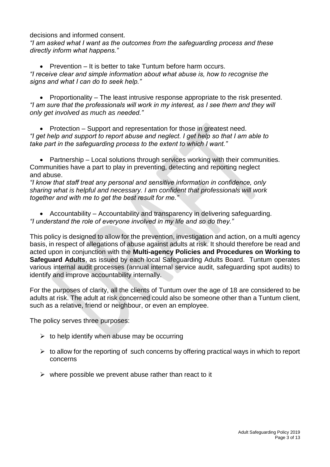decisions and informed consent.

*"I am asked what I want as the outcomes from the safeguarding process and these directly inform what happens."*

• Prevention – It is better to take Tuntum before harm occurs. *"I receive clear and simple information about what abuse is, how to recognise the signs and what I can do to seek help."*

 Proportionality – The least intrusive response appropriate to the risk presented. *"I am sure that the professionals will work in my interest, as I see them and they will only get involved as much as needed."*

• Protection – Support and representation for those in greatest need. *"I get help and support to report abuse and neglect. I get help so that I am able to take part in the safeguarding process to the extent to which I want."*

 Partnership – Local solutions through services working with their communities. Communities have a part to play in preventing, detecting and reporting neglect and abuse.

*"I know that staff treat any personal and sensitive information in confidence, only sharing what is helpful and necessary. I am confident that professionals will work together and with me to get the best result for me."*

 Accountability – Accountability and transparency in delivering safeguarding. *"I understand the role of everyone involved in my life and so do they."*

This policy is designed to allow for the prevention, investigation and action, on a multi agency basis, in respect of allegations of abuse against adults at risk. It should therefore be read and acted upon in conjunction with the **Multi-agency Policies and Procedures on Working to Safeguard Adults**, as issued by each local Safeguarding Adults Board. Tuntum operates various internal audit processes (annual internal service audit, safeguarding spot audits) to identify and improve accountability internally.

For the purposes of clarity, all the clients of Tuntum over the age of 18 are considered to be adults at risk. The adult at risk concerned could also be someone other than a Tuntum client, such as a relative, friend or neighbour, or even an employee.

The policy serves three purposes:

- $\triangleright$  to help identify when abuse may be occurring
- $\triangleright$  to allow for the reporting of such concerns by offering practical ways in which to report concerns
- $\triangleright$  where possible we prevent abuse rather than react to it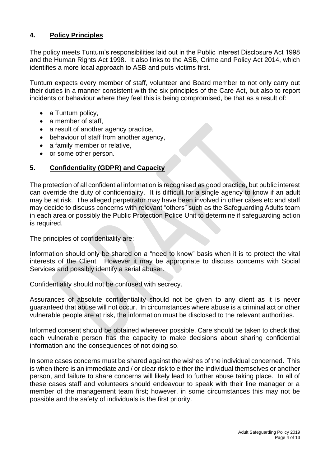# **4. Policy Principles**

The policy meets Tuntum's responsibilities laid out in the Public Interest Disclosure Act 1998 and the Human Rights Act 1998. It also links to the ASB, Crime and Policy Act 2014, which identifies a more local approach to ASB and puts victims first.

Tuntum expects every member of staff, volunteer and Board member to not only carry out their duties in a manner consistent with the six principles of the Care Act, but also to report incidents or behaviour where they feel this is being compromised, be that as a result of:

- a Tuntum policy.
- a member of staff.
- a result of another agency practice,
- behaviour of staff from another agency,
- a family member or relative,
- or some other person.

# **5. Confidentiality (GDPR) and Capacity**

The protection of all confidential information is recognised as good practice, but public interest can override the duty of confidentiality. It is difficult for a single agency to know if an adult may be at risk. The alleged perpetrator may have been involved in other cases etc and staff may decide to discuss concerns with relevant "others" such as the Safeguarding Adults team in each area or possibly the Public Protection Police Unit to determine if safeguarding action is required.

The principles of confidentiality are:

Information should only be shared on a "need to know" basis when it is to protect the vital interests of the Client. However it may be appropriate to discuss concerns with Social Services and possibly identify a serial abuser.

Confidentiality should not be confused with secrecy.

Assurances of absolute confidentiality should not be given to any client as it is never guaranteed that abuse will not occur. In circumstances where abuse is a criminal act or other vulnerable people are at risk, the information must be disclosed to the relevant authorities.

Informed consent should be obtained wherever possible. Care should be taken to check that each vulnerable person has the capacity to make decisions about sharing confidential information and the consequences of not doing so.

In some cases concerns must be shared against the wishes of the individual concerned. This is when there is an immediate and / or clear risk to either the individual themselves or another person, and failure to share concerns will likely lead to further abuse taking place. In all of these cases staff and volunteers should endeavour to speak with their line manager or a member of the management team first; however, in some circumstances this may not be possible and the safety of individuals is the first priority.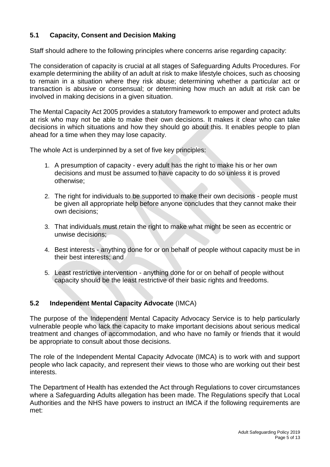# **5.1 Capacity, Consent and Decision Making**

Staff should adhere to the following principles where concerns arise regarding capacity:

The consideration of capacity is crucial at all stages of Safeguarding Adults Procedures. For example determining the ability of an adult at risk to make lifestyle choices, such as choosing to remain in a situation where they risk abuse; determining whether a particular act or transaction is abusive or consensual; or determining how much an adult at risk can be involved in making decisions in a given situation.

The Mental Capacity Act 2005 provides a statutory framework to empower and protect adults at risk who may not be able to make their own decisions. It makes it clear who can take decisions in which situations and how they should go about this. It enables people to plan ahead for a time when they may lose capacity.

The whole Act is underpinned by a set of five key principles:

- 1. A presumption of capacity every adult has the right to make his or her own decisions and must be assumed to have capacity to do so unless it is proved otherwise;
- 2. The right for individuals to be supported to make their own decisions people must be given all appropriate help before anyone concludes that they cannot make their own decisions;
- 3. That individuals must retain the right to make what might be seen as eccentric or unwise decisions;
- 4. Best interests anything done for or on behalf of people without capacity must be in their best interests; and
- 5. Least restrictive intervention anything done for or on behalf of people without capacity should be the least restrictive of their basic rights and freedoms.

# **5.2 Independent Mental Capacity Advocate** (IMCA)

The purpose of the Independent Mental Capacity Advocacy Service is to help particularly vulnerable people who lack the capacity to make important decisions about serious medical treatment and changes of accommodation, and who have no family or friends that it would be appropriate to consult about those decisions.

The role of the Independent Mental Capacity Advocate (IMCA) is to work with and support people who lack capacity, and represent their views to those who are working out their best interests.

The Department of Health has extended the Act through Regulations to cover circumstances where a Safeguarding Adults allegation has been made. The Regulations specify that Local Authorities and the NHS have powers to instruct an IMCA if the following requirements are met: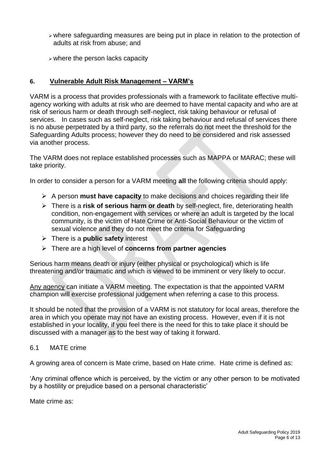- $\triangleright$  where safeguarding measures are being put in place in relation to the protection of adults at risk from abuse; and
- $\triangleright$  where the person lacks capacity

# **6. Vulnerable Adult Risk Management – VARM's**

VARM is a process that provides professionals with a framework to facilitate effective multiagency working with adults at risk who are deemed to have mental capacity and who are at risk of serious harm or death through self-neglect, risk taking behaviour or refusal of services. In cases such as self-neglect, risk taking behaviour and refusal of services there is no abuse perpetrated by a third party, so the referrals do not meet the threshold for the Safeguarding Adults process; however they do need to be considered and risk assessed via another process.

The VARM does not replace established processes such as MAPPA or MARAC; these will take priority.

In order to consider a person for a VARM meeting **all** the following criteria should apply:

- A person **must have capacity** to make decisions and choices regarding their life
- There is a **risk of serious harm or death** by self-neglect, fire, deteriorating health condition, non-engagement with services or where an adult is targeted by the local community, is the victim of Hate Crime or Anti-Social Behaviour or the victim of sexual violence and they do not meet the criteria for Safeguarding
- There is a **public safety** interest
- There are a high level of **concerns from partner agencies**

Serious harm means death or injury (either physical or psychological) which is life threatening and/or traumatic and which is viewed to be imminent or very likely to occur.

Any agency can initiate a VARM meeting. The expectation is that the appointed VARM champion will exercise professional judgement when referring a case to this process.

It should be noted that the provision of a VARM is not statutory for local areas, therefore the area in which you operate may not have an existing process. However, even if it is not established in your locality, if you feel there is the need for this to take place it should be discussed with a manager as to the best way of taking it forward.

#### 6.1 MATE crime

A growing area of concern is Mate crime, based on Hate crime. Hate crime is defined as:

'Any criminal offence which is perceived, by the victim or any other person to be motivated by a hostility or prejudice based on a personal characteristic'

Mate crime as: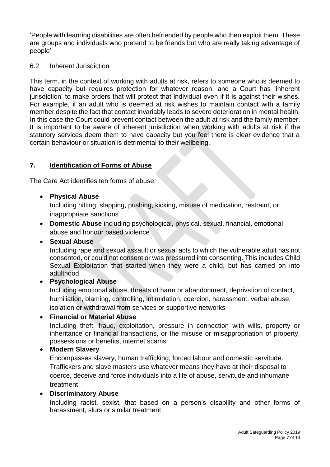'People with learning disabilities are often befriended by people who then exploit them. These are groups and individuals who pretend to be friends but who are really taking advantage of people'

6.2 Inherent Jurisdiction

This term, in the context of working with adults at risk, refers to someone who is deemed to have capacity but requires protection for whatever reason, and a Court has 'inherent jurisdiction' to make orders that will protect that individual even if it is against their wishes. For example, if an adult who is deemed at risk wishes to maintain contact with a family member despite the fact that contact invariably leads to severe deterioration in mental health. In this case the Court could prevent contact between the adult at risk and the family member. It is important to be aware of inherent jurisdiction when working with adults at risk if the statutory services deem them to have capacity but you feel there is clear evidence that a certain behaviour or situation is detrimental to their wellbeing.

# **7. Identification of Forms of Abuse**

The Care Act identifies ten forms of abuse:

**Physical Abuse**

Including hitting, slapping, pushing, kicking, misuse of medication, restraint, or inappropriate sanctions

- **Domestic Abuse** including psychological, physical, sexual, financial, emotional abuse and honour based violence
- **Sexual Abuse**

Including rape and sexual assault or sexual acts to which the vulnerable adult has not consented, or could not consent or was pressured into consenting. This includes Child Sexual Exploitation that started when they were a child, but has carried on into adulthood.

**Psychological Abuse**

Including emotional abuse, threats of harm or abandonment, deprivation of contact, humiliation, blaming, controlling, intimidation, coercion, harassment, verbal abuse, isolation or withdrawal from services or supportive networks

**Financial or Material Abuse**

Including theft, fraud, exploitation, pressure in connection with wills, property or inheritance or financial transactions, or the misuse or misappropriation of property, possessions or benefits, internet scams

**Modern Slavery**

Encompasses slavery, human trafficking; forced labour and domestic servitude. Traffickers and slave masters use whatever means they have at their disposal to coerce, deceive and force individuals into a life of abuse, servitude and inhumane treatment

**Discriminatory Abuse**

Including racist, sexist, that based on a person's disability and other forms of harassment, slurs or similar treatment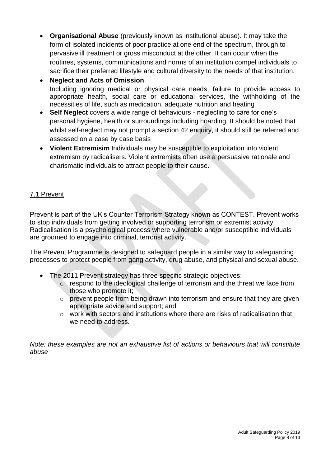**Organisational Abuse** (previously known as institutional abuse). It may take the form of isolated incidents of poor practice at one end of the spectrum, through to pervasive ill treatment or gross misconduct at the other. It can occur when the routines, systems, communications and norms of an institution compel individuals to sacrifice their preferred lifestyle and cultural diversity to the needs of that institution.

# **Neglect and Acts of Omission** Including ignoring medical or physical care needs, failure to provide access to appropriate health, social care or educational services, the withholding of the necessities of life, such as medication, adequate nutrition and heating

- **Self Neglect** covers a wide range of behaviours neglecting to care for one's personal hygiene, health or surroundings including hoarding. It should be noted that whilst self-neglect may not prompt a section 42 enquiry, it should still be referred and assessed on a case by case basis
- **Violent Extremisim** Individuals may be susceptible to exploitation into violent extremism by radicalisers. Violent extremists often use a persuasive rationale and charismatic individuals to attract people to their cause.

# 7.1 Prevent

Prevent is part of the UK's Counter Terrorism Strategy known as CONTEST. Prevent works to stop individuals from getting involved or supporting terrorism or extremist activity. Radicalisation is a psychological process where vulnerable and/or susceptible individuals are groomed to engage into criminal, terrorist activity.

The Prevent Programme is designed to safeguard people in a similar way to safeguarding processes to protect people from gang activity, drug abuse, and physical and sexual abuse.

- The 2011 Prevent strategy has three specific strategic objectives:
	- o respond to the ideological challenge of terrorism and the threat we face from those who promote it;
	- o prevent people from being drawn into terrorism and ensure that they are given appropriate advice and support; and
	- $\circ$  work with sectors and institutions where there are risks of radicalisation that we need to address.

*Note: these examples are not an exhaustive list of actions or behaviours that will constitute abuse*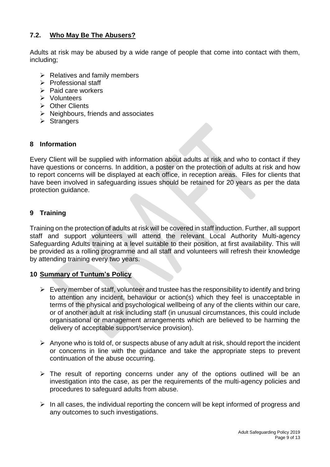# **7.2. Who May Be The Abusers?**

Adults at risk may be abused by a wide range of people that come into contact with them, including;

- $\triangleright$  Relatives and family members
- $\triangleright$  Professional staff
- $\triangleright$  Paid care workers
- $\triangleright$  Volunteers
- **▶ Other Clients**
- $\triangleright$  Neighbours, friends and associates
- $\triangleright$  Strangers

### **8 Information**

Every Client will be supplied with information about adults at risk and who to contact if they have questions or concerns. In addition, a poster on the protection of adults at risk and how to report concerns will be displayed at each office, in reception areas. Files for clients that have been involved in safeguarding issues should be retained for 20 years as per the data protection guidance.

# **9 Training**

Training on the protection of adults at risk will be covered in staff induction. Further, all support staff and support volunteers will attend the relevant Local Authority Multi-agency Safeguarding Adults training at a level suitable to their position, at first availability. This will be provided as a rolling programme and all staff and volunteers will refresh their knowledge by attending training every two years.

#### **10 Summary of Tuntum's Policy**

- $\triangleright$  Every member of staff, volunteer and trustee has the responsibility to identify and bring to attention any incident, behaviour or action(s) which they feel is unacceptable in terms of the physical and psychological wellbeing of any of the clients within our care, or of another adult at risk including staff (in unusual circumstances, this could include organisational or management arrangements which are believed to be harming the delivery of acceptable support/service provision).
- $\triangleright$  Anyone who is told of, or suspects abuse of any adult at risk, should report the incident or concerns in line with the guidance and take the appropriate steps to prevent continuation of the abuse occurring.
- $\triangleright$  The result of reporting concerns under any of the options outlined will be an investigation into the case, as per the requirements of the multi-agency policies and procedures to safeguard adults from abuse.
- $\triangleright$  In all cases, the individual reporting the concern will be kept informed of progress and any outcomes to such investigations.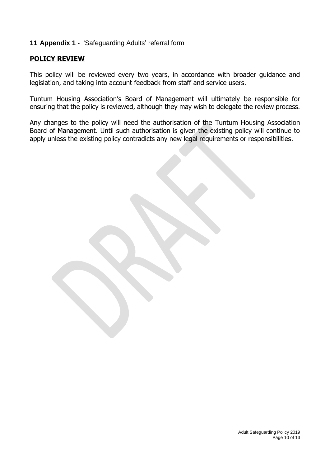### **11 Appendix 1 -** 'Safeguarding Adults' referral form

#### **POLICY REVIEW**

This policy will be reviewed every two years, in accordance with broader guidance and legislation, and taking into account feedback from staff and service users.

Tuntum Housing Association's Board of Management will ultimately be responsible for ensuring that the policy is reviewed, although they may wish to delegate the review process.

Any changes to the policy will need the authorisation of the Tuntum Housing Association Board of Management. Until such authorisation is given the existing policy will continue to apply unless the existing policy contradicts any new legal requirements or responsibilities.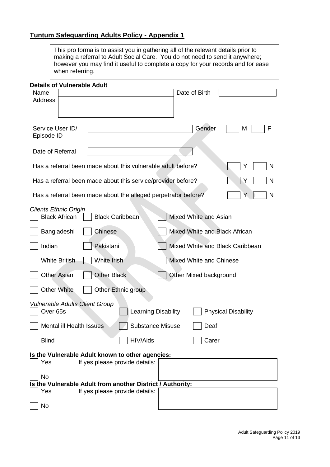# **Tuntum Safeguarding Adults Policy - Appendix 1**

| This pro forma is to assist you in gathering all of the relevant details prior to<br>making a referral to Adult Social Care. You do not need to send it anywhere;<br>however you may find it useful to complete a copy for your records and for ease<br>when referring. |  |  |  |  |  |  |
|-------------------------------------------------------------------------------------------------------------------------------------------------------------------------------------------------------------------------------------------------------------------------|--|--|--|--|--|--|
| <b>Details of Vulnerable Adult</b><br>Date of Birth<br>Name<br><b>Address</b>                                                                                                                                                                                           |  |  |  |  |  |  |
| Gender<br>Service User ID/<br>M<br>F<br>Episode ID                                                                                                                                                                                                                      |  |  |  |  |  |  |
| Date of Referral                                                                                                                                                                                                                                                        |  |  |  |  |  |  |
| N<br>Has a referral been made about this vulnerable adult before?<br>Y                                                                                                                                                                                                  |  |  |  |  |  |  |
| Has a referral been made about this service/provider before?<br>N<br>Y                                                                                                                                                                                                  |  |  |  |  |  |  |
| Has a referral been made about the alleged perpetrator before?<br>N<br>Y                                                                                                                                                                                                |  |  |  |  |  |  |
| <b>Clients Ethnic Origin</b><br><b>Black African</b><br><b>Black Caribbean</b><br>Mixed White and Asian                                                                                                                                                                 |  |  |  |  |  |  |
| Mixed White and Black African<br>Bangladeshi<br><b>Chinese</b>                                                                                                                                                                                                          |  |  |  |  |  |  |
| Pakistani<br>Indian<br>Mixed White and Black Caribbean                                                                                                                                                                                                                  |  |  |  |  |  |  |
| White Irish<br><b>White British</b><br><b>Mixed White and Chinese</b>                                                                                                                                                                                                   |  |  |  |  |  |  |
| <b>Other Asian</b><br><b>Other Black</b><br>Other Mixed background                                                                                                                                                                                                      |  |  |  |  |  |  |
| <b>Other White</b><br>Other Ethnic group                                                                                                                                                                                                                                |  |  |  |  |  |  |
| <b>Vulnerable Adults Client Group</b><br>Over <sub>65s</sub><br>Learning Disability<br><b>Physical Disability</b>                                                                                                                                                       |  |  |  |  |  |  |
| <b>Substance Misuse</b><br>Mental ill Health Issues<br>Deaf                                                                                                                                                                                                             |  |  |  |  |  |  |
| <b>Blind</b><br>HIV/Aids<br>Carer                                                                                                                                                                                                                                       |  |  |  |  |  |  |
| Is the Vulnerable Adult known to other agencies:                                                                                                                                                                                                                        |  |  |  |  |  |  |
| Yes<br>If yes please provide details:                                                                                                                                                                                                                                   |  |  |  |  |  |  |
| No                                                                                                                                                                                                                                                                      |  |  |  |  |  |  |
| Is the Vulnerable Adult from another District / Authority:<br>If yes please provide details:<br>Yes                                                                                                                                                                     |  |  |  |  |  |  |
| No                                                                                                                                                                                                                                                                      |  |  |  |  |  |  |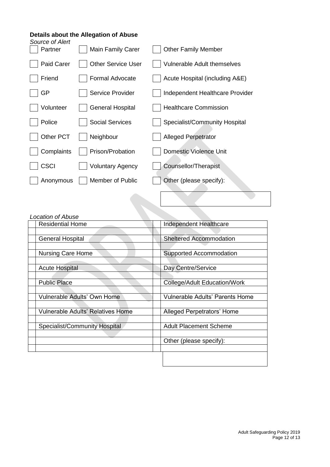# **Details about the Allegation of Abuse**

| Source of Alert<br>Partner | Main Family Carer         | <b>Other Family Member</b>      |
|----------------------------|---------------------------|---------------------------------|
| <b>Paid Carer</b>          | <b>Other Service User</b> | Vulnerable Adult themselves     |
| Friend                     | <b>Formal Advocate</b>    | Acute Hospital (including A&E)  |
| <b>GP</b>                  | Service Provider          | Independent Healthcare Provider |
| Volunteer                  | <b>General Hospital</b>   | <b>Healthcare Commission</b>    |
| Police                     | <b>Social Services</b>    | Specialist/Community Hospital   |
| Other PCT                  | Neighbour                 | <b>Alleged Perpetrator</b>      |
| Complaints                 | Prison/Probation          | <b>Domestic Violence Unit</b>   |
| <b>CSCI</b>                | <b>Voluntary Agency</b>   | Counsellor/Therapist            |
| Anonymous                  | Member of Public          | Other (please specify):         |
|                            |                           |                                 |

#### *Location of Abuse*

| <b>Residential Home</b>                  |  | Independent Healthcare                 |
|------------------------------------------|--|----------------------------------------|
|                                          |  |                                        |
| <b>General Hospital</b>                  |  | <b>Sheltered Accommodation</b>         |
|                                          |  |                                        |
| <b>Nursing Care Home</b>                 |  | Supported Accommodation                |
|                                          |  |                                        |
| <b>Acute Hospital</b>                    |  | Day Centre/Service                     |
|                                          |  |                                        |
| <b>Public Place</b>                      |  | <b>College/Adult Education/Work</b>    |
|                                          |  |                                        |
| Vulnerable Adults' Own Home              |  | <b>Vulnerable Adults' Parents Home</b> |
|                                          |  |                                        |
| <b>Vulnerable Adults' Relatives Home</b> |  | Alleged Perpetrators' Home             |
|                                          |  |                                        |
| Specialist/Community Hospital            |  | <b>Adult Placement Scheme</b>          |
|                                          |  |                                        |
|                                          |  | Other (please specify):                |
|                                          |  |                                        |
|                                          |  |                                        |
|                                          |  |                                        |